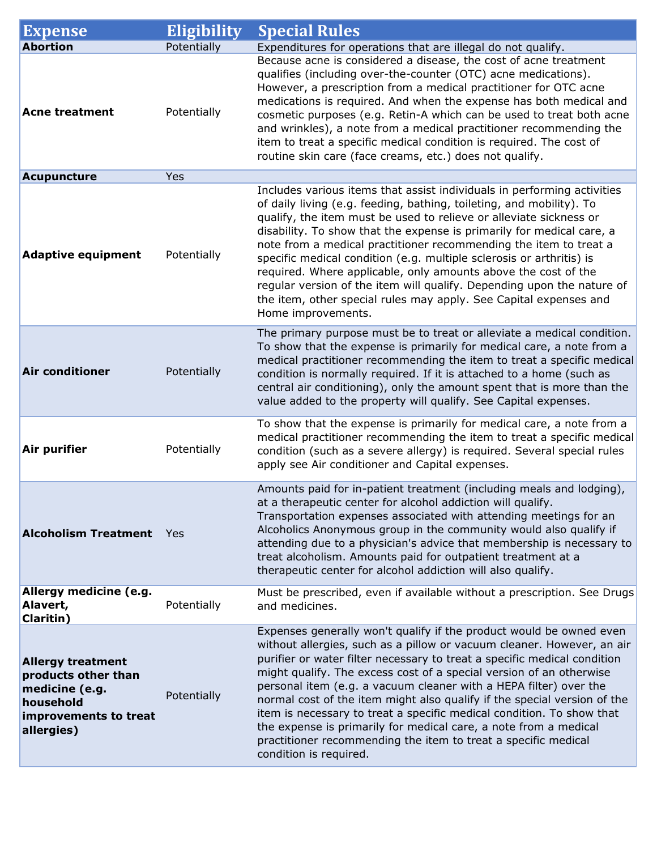| <b>Expense</b>                                                                                                        | Eligibility | <b>Special Rules</b>                                                                                                                                                                                                                                                                                                                                                                                                                                                                                                                                                                                                                                                                       |
|-----------------------------------------------------------------------------------------------------------------------|-------------|--------------------------------------------------------------------------------------------------------------------------------------------------------------------------------------------------------------------------------------------------------------------------------------------------------------------------------------------------------------------------------------------------------------------------------------------------------------------------------------------------------------------------------------------------------------------------------------------------------------------------------------------------------------------------------------------|
| <b>Abortion</b>                                                                                                       | Potentially | Expenditures for operations that are illegal do not qualify.                                                                                                                                                                                                                                                                                                                                                                                                                                                                                                                                                                                                                               |
| <b>Acne treatment</b>                                                                                                 | Potentially | Because acne is considered a disease, the cost of acne treatment<br>qualifies (including over-the-counter (OTC) acne medications).<br>However, a prescription from a medical practitioner for OTC acne<br>medications is required. And when the expense has both medical and<br>cosmetic purposes (e.g. Retin-A which can be used to treat both acne<br>and wrinkles), a note from a medical practitioner recommending the<br>item to treat a specific medical condition is required. The cost of<br>routine skin care (face creams, etc.) does not qualify.                                                                                                                               |
| Acupuncture                                                                                                           | Yes         |                                                                                                                                                                                                                                                                                                                                                                                                                                                                                                                                                                                                                                                                                            |
| <b>Adaptive equipment</b>                                                                                             | Potentially | Includes various items that assist individuals in performing activities<br>of daily living (e.g. feeding, bathing, toileting, and mobility). To<br>qualify, the item must be used to relieve or alleviate sickness or<br>disability. To show that the expense is primarily for medical care, a<br>note from a medical practitioner recommending the item to treat a<br>specific medical condition (e.g. multiple sclerosis or arthritis) is<br>required. Where applicable, only amounts above the cost of the<br>regular version of the item will qualify. Depending upon the nature of<br>the item, other special rules may apply. See Capital expenses and<br>Home improvements.         |
| <b>Air conditioner</b>                                                                                                | Potentially | The primary purpose must be to treat or alleviate a medical condition.<br>To show that the expense is primarily for medical care, a note from a<br>medical practitioner recommending the item to treat a specific medical<br>condition is normally required. If it is attached to a home (such as<br>central air conditioning), only the amount spent that is more than the<br>value added to the property will qualify. See Capital expenses.                                                                                                                                                                                                                                             |
| Air purifier                                                                                                          | Potentially | To show that the expense is primarily for medical care, a note from a<br>medical practitioner recommending the item to treat a specific medical<br>condition (such as a severe allergy) is required. Several special rules<br>apply see Air conditioner and Capital expenses.                                                                                                                                                                                                                                                                                                                                                                                                              |
| <b>Alcoholism Treatment</b>                                                                                           | - Yes       | Amounts paid for in-patient treatment (including meals and lodging),<br>at a therapeutic center for alcohol addiction will qualify.<br>Transportation expenses associated with attending meetings for an<br>Alcoholics Anonymous group in the community would also qualify if<br>attending due to a physician's advice that membership is necessary to<br>treat alcoholism. Amounts paid for outpatient treatment at a<br>therapeutic center for alcohol addiction will also qualify.                                                                                                                                                                                                      |
| Allergy medicine (e.g.<br>Alavert,<br><b>Claritin</b> )                                                               | Potentially | Must be prescribed, even if available without a prescription. See Drugs<br>and medicines.                                                                                                                                                                                                                                                                                                                                                                                                                                                                                                                                                                                                  |
| <b>Allergy treatment</b><br>products other than<br>medicine (e.g.<br>household<br>improvements to treat<br>allergies) | Potentially | Expenses generally won't qualify if the product would be owned even<br>without allergies, such as a pillow or vacuum cleaner. However, an air<br>purifier or water filter necessary to treat a specific medical condition<br>might qualify. The excess cost of a special version of an otherwise<br>personal item (e.g. a vacuum cleaner with a HEPA filter) over the<br>normal cost of the item might also qualify if the special version of the<br>item is necessary to treat a specific medical condition. To show that<br>the expense is primarily for medical care, a note from a medical<br>practitioner recommending the item to treat a specific medical<br>condition is required. |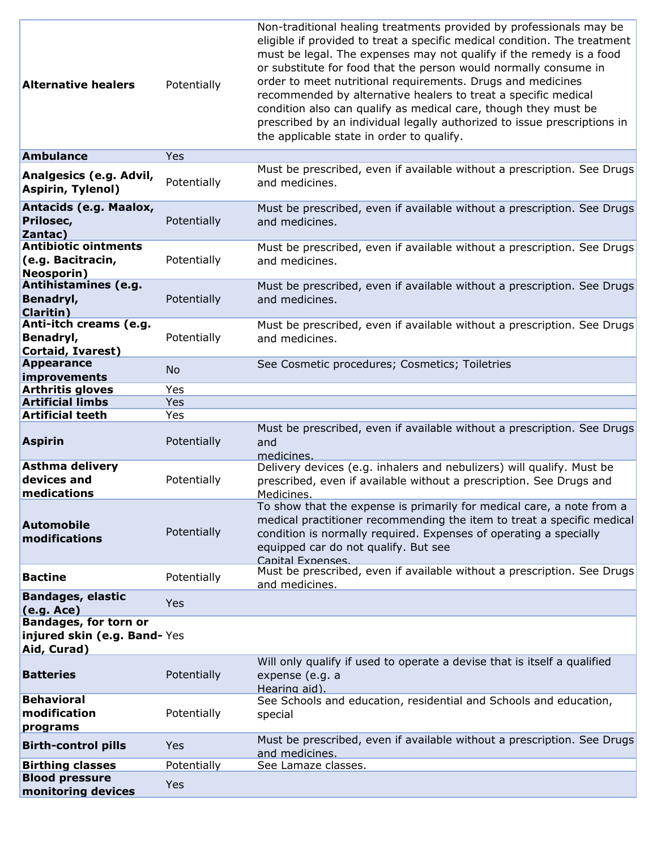| <b>Alternative healers</b>                                             | Potentially | Non-traditional healing treatments provided by professionals may be<br>eligible if provided to treat a specific medical condition. The treatment<br>must be legal. The expenses may not qualify if the remedy is a food<br>or substitute for food that the person would normally consume in<br>order to meet nutritional requirements. Drugs and medicines<br>recommended by alternative healers to treat a specific medical<br>condition also can qualify as medical care, though they must be<br>prescribed by an individual legally authorized to issue prescriptions in<br>the applicable state in order to qualify. |
|------------------------------------------------------------------------|-------------|--------------------------------------------------------------------------------------------------------------------------------------------------------------------------------------------------------------------------------------------------------------------------------------------------------------------------------------------------------------------------------------------------------------------------------------------------------------------------------------------------------------------------------------------------------------------------------------------------------------------------|
| <b>Ambulance</b>                                                       | Yes         |                                                                                                                                                                                                                                                                                                                                                                                                                                                                                                                                                                                                                          |
| Analgesics (e.g. Advil,<br><b>Aspirin, Tylenol)</b>                    | Potentially | Must be prescribed, even if available without a prescription. See Drugs<br>and medicines.                                                                                                                                                                                                                                                                                                                                                                                                                                                                                                                                |
| Antacids (e.g. Maalox,<br>Prilosec,<br>Zantac)                         | Potentially | Must be prescribed, even if available without a prescription. See Drugs<br>and medicines.                                                                                                                                                                                                                                                                                                                                                                                                                                                                                                                                |
| <b>Antibiotic ointments</b><br>(e.g. Bacitracin,<br><b>Neosporin)</b>  | Potentially | Must be prescribed, even if available without a prescription. See Drugs<br>and medicines.                                                                                                                                                                                                                                                                                                                                                                                                                                                                                                                                |
| Antihistamines (e.g.<br>Benadryl,<br><b>Claritin</b> )                 | Potentially | Must be prescribed, even if available without a prescription. See Drugs<br>and medicines.                                                                                                                                                                                                                                                                                                                                                                                                                                                                                                                                |
| Anti-itch creams (e.g.<br>Benadryl,<br><b>Cortaid, Ivarest)</b>        | Potentially | Must be prescribed, even if available without a prescription. See Drugs<br>and medicines.                                                                                                                                                                                                                                                                                                                                                                                                                                                                                                                                |
| <b>Appearance</b><br>improvements                                      | <b>No</b>   | See Cosmetic procedures; Cosmetics; Toiletries                                                                                                                                                                                                                                                                                                                                                                                                                                                                                                                                                                           |
| <b>Arthritis gloves</b>                                                | Yes         |                                                                                                                                                                                                                                                                                                                                                                                                                                                                                                                                                                                                                          |
| <b>Artificial limbs</b>                                                | Yes         |                                                                                                                                                                                                                                                                                                                                                                                                                                                                                                                                                                                                                          |
| <b>Artificial teeth</b>                                                | Yes         |                                                                                                                                                                                                                                                                                                                                                                                                                                                                                                                                                                                                                          |
| <b>Aspirin</b>                                                         | Potentially | Must be prescribed, even if available without a prescription. See Drugs<br>and<br>medicines.                                                                                                                                                                                                                                                                                                                                                                                                                                                                                                                             |
| <b>Asthma delivery</b><br>devices and<br>medications                   | Potentially | Delivery devices (e.g. inhalers and nebulizers) will qualify. Must be<br>prescribed, even if available without a prescription. See Drugs and<br>Medicines.                                                                                                                                                                                                                                                                                                                                                                                                                                                               |
| <b>Automobile</b><br>modifications                                     | Potentially | To show that the expense is primarily for medical care, a note from a<br>medical practitioner recommending the item to treat a specific medical<br>condition is normally required. Expenses of operating a specially<br>equipped car do not qualify. But see<br><b>Canital Exnenses.</b>                                                                                                                                                                                                                                                                                                                                 |
| <b>Bactine</b>                                                         | Potentially | Must be prescribed, even if available without a prescription. See Drugs<br>and medicines.                                                                                                                                                                                                                                                                                                                                                                                                                                                                                                                                |
| <b>Bandages, elastic</b><br>(e.g. Acc)<br><b>Bandages, for torn or</b> | <b>Yes</b>  |                                                                                                                                                                                                                                                                                                                                                                                                                                                                                                                                                                                                                          |
| injured skin (e.g. Band-Yes<br>Aid, Curad)                             |             |                                                                                                                                                                                                                                                                                                                                                                                                                                                                                                                                                                                                                          |
| <b>Batteries</b>                                                       | Potentially | Will only qualify if used to operate a devise that is itself a qualified<br>expense (e.g. a<br>Hearing aid).                                                                                                                                                                                                                                                                                                                                                                                                                                                                                                             |
| <b>Behavioral</b><br>modification<br>programs                          | Potentially | See Schools and education, residential and Schools and education,<br>special                                                                                                                                                                                                                                                                                                                                                                                                                                                                                                                                             |
| <b>Birth-control pills</b>                                             | Yes         | Must be prescribed, even if available without a prescription. See Drugs<br>and medicines.                                                                                                                                                                                                                                                                                                                                                                                                                                                                                                                                |
| <b>Birthing classes</b>                                                | Potentially | See Lamaze classes.                                                                                                                                                                                                                                                                                                                                                                                                                                                                                                                                                                                                      |
| <b>Blood pressure</b><br>monitoring devices                            | Yes         |                                                                                                                                                                                                                                                                                                                                                                                                                                                                                                                                                                                                                          |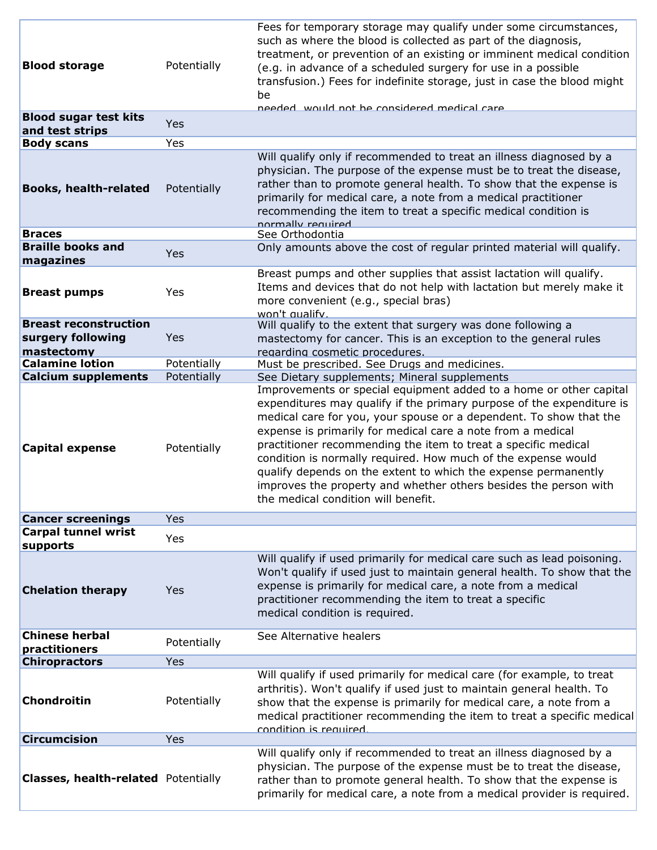| <b>Blood storage</b>                            | Potentially | Fees for temporary storage may qualify under some circumstances,<br>such as where the blood is collected as part of the diagnosis,<br>treatment, or prevention of an existing or imminent medical condition<br>(e.g. in advance of a scheduled surgery for use in a possible<br>transfusion.) Fees for indefinite storage, just in case the blood might<br>be                                                                                                                                                                                                                                    |
|-------------------------------------------------|-------------|--------------------------------------------------------------------------------------------------------------------------------------------------------------------------------------------------------------------------------------------------------------------------------------------------------------------------------------------------------------------------------------------------------------------------------------------------------------------------------------------------------------------------------------------------------------------------------------------------|
| <b>Blood sugar test kits</b><br>and test strips | Yes         | and would not be considered medical care                                                                                                                                                                                                                                                                                                                                                                                                                                                                                                                                                         |
| <b>Body scans</b>                               | Yes         |                                                                                                                                                                                                                                                                                                                                                                                                                                                                                                                                                                                                  |
| <b>Books, health-related</b>                    | Potentially | Will qualify only if recommended to treat an illness diagnosed by a<br>physician. The purpose of the expense must be to treat the disease,<br>rather than to promote general health. To show that the expense is<br>primarily for medical care, a note from a medical practitioner<br>recommending the item to treat a specific medical condition is<br>normally required                                                                                                                                                                                                                        |
| <b>Braces</b>                                   |             | See Orthodontia                                                                                                                                                                                                                                                                                                                                                                                                                                                                                                                                                                                  |
| <b>Braille books and</b>                        | Yes         | Only amounts above the cost of regular printed material will qualify.                                                                                                                                                                                                                                                                                                                                                                                                                                                                                                                            |
| magazines                                       |             |                                                                                                                                                                                                                                                                                                                                                                                                                                                                                                                                                                                                  |
| <b>Breast pumps</b>                             | Yes         | Breast pumps and other supplies that assist lactation will qualify.<br>Items and devices that do not help with lactation but merely make it<br>more convenient (e.g., special bras)<br>won't qualify.                                                                                                                                                                                                                                                                                                                                                                                            |
| <b>Breast reconstruction</b>                    |             | Will qualify to the extent that surgery was done following a                                                                                                                                                                                                                                                                                                                                                                                                                                                                                                                                     |
| surgery following                               | Yes         | mastectomy for cancer. This is an exception to the general rules                                                                                                                                                                                                                                                                                                                                                                                                                                                                                                                                 |
| mastectomy                                      |             | regarding cosmetic procedures.                                                                                                                                                                                                                                                                                                                                                                                                                                                                                                                                                                   |
| <b>Calamine lotion</b>                          | Potentially | Must be prescribed. See Drugs and medicines.                                                                                                                                                                                                                                                                                                                                                                                                                                                                                                                                                     |
| <b>Calcium supplements</b>                      | Potentially | See Dietary supplements; Mineral supplements                                                                                                                                                                                                                                                                                                                                                                                                                                                                                                                                                     |
| <b>Capital expense</b>                          | Potentially | Improvements or special equipment added to a home or other capital<br>expenditures may qualify if the primary purpose of the expenditure is<br>medical care for you, your spouse or a dependent. To show that the<br>expense is primarily for medical care a note from a medical<br>practitioner recommending the item to treat a specific medical<br>condition is normally required. How much of the expense would<br>qualify depends on the extent to which the expense permanently<br>improves the property and whether others besides the person with<br>the medical condition will benefit. |
| <b>Cancer screenings</b>                        | Yes         |                                                                                                                                                                                                                                                                                                                                                                                                                                                                                                                                                                                                  |
| <b>Carpal tunnel wrist</b>                      |             |                                                                                                                                                                                                                                                                                                                                                                                                                                                                                                                                                                                                  |
| supports                                        | Yes         |                                                                                                                                                                                                                                                                                                                                                                                                                                                                                                                                                                                                  |
| <b>Chelation therapy</b>                        | Yes         | Will qualify if used primarily for medical care such as lead poisoning.<br>Won't qualify if used just to maintain general health. To show that the<br>expense is primarily for medical care, a note from a medical<br>practitioner recommending the item to treat a specific<br>medical condition is required.                                                                                                                                                                                                                                                                                   |
| <b>Chinese herbal</b><br>practitioners          | Potentially | See Alternative healers                                                                                                                                                                                                                                                                                                                                                                                                                                                                                                                                                                          |
| <b>Chiropractors</b>                            | Yes         |                                                                                                                                                                                                                                                                                                                                                                                                                                                                                                                                                                                                  |
| <b>Chondroitin</b>                              | Potentially | Will qualify if used primarily for medical care (for example, to treat<br>arthritis). Won't qualify if used just to maintain general health. To<br>show that the expense is primarily for medical care, a note from a<br>medical practitioner recommending the item to treat a specific medical<br>condition is required.                                                                                                                                                                                                                                                                        |
| <b>Circumcision</b>                             | Yes         |                                                                                                                                                                                                                                                                                                                                                                                                                                                                                                                                                                                                  |
| <b>Classes, health-related Potentially</b>      |             | Will qualify only if recommended to treat an illness diagnosed by a<br>physician. The purpose of the expense must be to treat the disease,<br>rather than to promote general health. To show that the expense is<br>primarily for medical care, a note from a medical provider is required.                                                                                                                                                                                                                                                                                                      |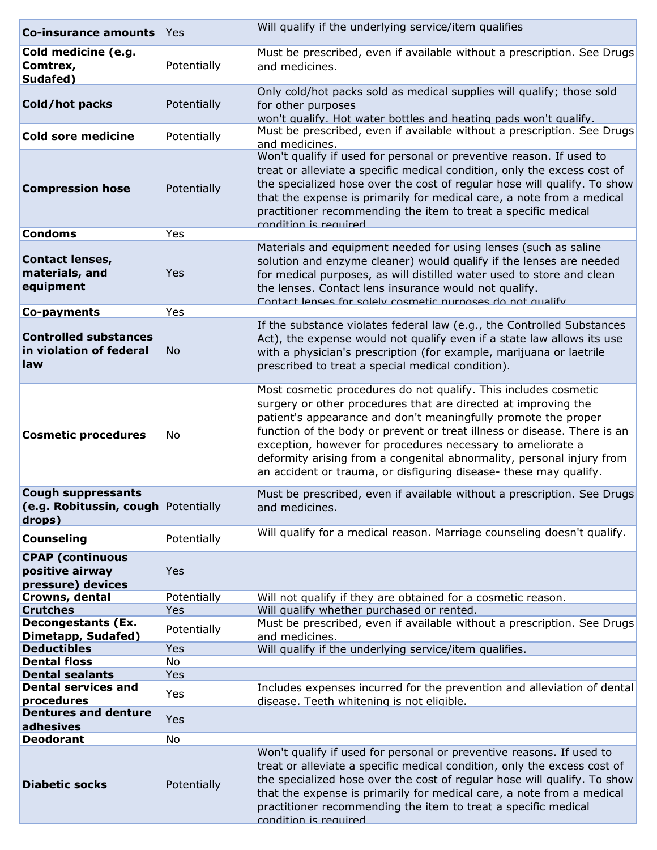| <b>Co-insurance amounts</b> Yes                                            |                    | Will qualify if the underlying service/item qualifies                                                                                                                                                                                                                                                                                                                                                                                                                                        |
|----------------------------------------------------------------------------|--------------------|----------------------------------------------------------------------------------------------------------------------------------------------------------------------------------------------------------------------------------------------------------------------------------------------------------------------------------------------------------------------------------------------------------------------------------------------------------------------------------------------|
| Cold medicine (e.g.<br>Comtrex,<br>Sudafed)                                | Potentially        | Must be prescribed, even if available without a prescription. See Drugs<br>and medicines.                                                                                                                                                                                                                                                                                                                                                                                                    |
| Cold/hot packs                                                             | Potentially        | Only cold/hot packs sold as medical supplies will qualify; those sold<br>for other purposes<br>won't qualify. Hot water bottles and heating pads won't qualify.                                                                                                                                                                                                                                                                                                                              |
| Cold sore medicine                                                         | Potentially        | Must be prescribed, even if available without a prescription. See Drugs<br>and medicines.                                                                                                                                                                                                                                                                                                                                                                                                    |
| <b>Compression hose</b>                                                    | Potentially        | Won't qualify if used for personal or preventive reason. If used to<br>treat or alleviate a specific medical condition, only the excess cost of<br>the specialized hose over the cost of regular hose will qualify. To show<br>that the expense is primarily for medical care, a note from a medical<br>practitioner recommending the item to treat a specific medical<br>condition is required                                                                                              |
| <b>Condoms</b>                                                             | Yes                |                                                                                                                                                                                                                                                                                                                                                                                                                                                                                              |
| <b>Contact lenses,</b><br>materials, and<br>equipment                      | Yes                | Materials and equipment needed for using lenses (such as saline<br>solution and enzyme cleaner) would qualify if the lenses are needed<br>for medical purposes, as will distilled water used to store and clean<br>the lenses. Contact lens insurance would not qualify.<br>Contact lenses for solely cosmetic nurnoses do not qualify.                                                                                                                                                      |
| Co-payments                                                                | Yes                |                                                                                                                                                                                                                                                                                                                                                                                                                                                                                              |
| <b>Controlled substances</b><br>in violation of federal<br>law             | <b>No</b>          | If the substance violates federal law (e.g., the Controlled Substances<br>Act), the expense would not qualify even if a state law allows its use<br>with a physician's prescription (for example, marijuana or laetrile<br>prescribed to treat a special medical condition).                                                                                                                                                                                                                 |
| <b>Cosmetic procedures</b>                                                 | No                 | Most cosmetic procedures do not qualify. This includes cosmetic<br>surgery or other procedures that are directed at improving the<br>patient's appearance and don't meaningfully promote the proper<br>function of the body or prevent or treat illness or disease. There is an<br>exception, however for procedures necessary to ameliorate a<br>deformity arising from a congenital abnormality, personal injury from<br>an accident or trauma, or disfiguring disease- these may qualify. |
| <b>Cough suppressants</b><br>(e.g. Robitussin, cough Potentially<br>drops) |                    | Must be prescribed, even if available without a prescription. See Drugs<br>and medicines.                                                                                                                                                                                                                                                                                                                                                                                                    |
| <b>Counseling</b>                                                          | Potentially        | Will qualify for a medical reason. Marriage counseling doesn't qualify.                                                                                                                                                                                                                                                                                                                                                                                                                      |
| <b>CPAP</b> (continuous<br>positive airway<br>pressure) devices            | Yes                |                                                                                                                                                                                                                                                                                                                                                                                                                                                                                              |
| Crowns, dental<br><b>Crutches</b>                                          | Potentially<br>Yes | Will not qualify if they are obtained for a cosmetic reason.<br>Will qualify whether purchased or rented.                                                                                                                                                                                                                                                                                                                                                                                    |
| <b>Decongestants (Ex.</b><br>Dimetapp, Sudafed)                            | Potentially        | Must be prescribed, even if available without a prescription. See Drugs<br>and medicines.                                                                                                                                                                                                                                                                                                                                                                                                    |
| <b>Deductibles</b>                                                         | Yes                | Will qualify if the underlying service/item qualifies.                                                                                                                                                                                                                                                                                                                                                                                                                                       |
| <b>Dental floss</b><br><b>Dental sealants</b>                              | No<br>Yes          |                                                                                                                                                                                                                                                                                                                                                                                                                                                                                              |
| <b>Dental services and</b>                                                 |                    | Includes expenses incurred for the prevention and alleviation of dental                                                                                                                                                                                                                                                                                                                                                                                                                      |
| procedures                                                                 | Yes                | disease. Teeth whitening is not eligible.                                                                                                                                                                                                                                                                                                                                                                                                                                                    |
| <b>Dentures and denture</b><br>adhesives                                   | Yes                |                                                                                                                                                                                                                                                                                                                                                                                                                                                                                              |
| <b>Deodorant</b>                                                           | No                 |                                                                                                                                                                                                                                                                                                                                                                                                                                                                                              |
| <b>Diabetic socks</b>                                                      | Potentially        | Won't qualify if used for personal or preventive reasons. If used to<br>treat or alleviate a specific medical condition, only the excess cost of<br>the specialized hose over the cost of regular hose will qualify. To show<br>that the expense is primarily for medical care, a note from a medical<br>practitioner recommending the item to treat a specific medical<br>condition is required                                                                                             |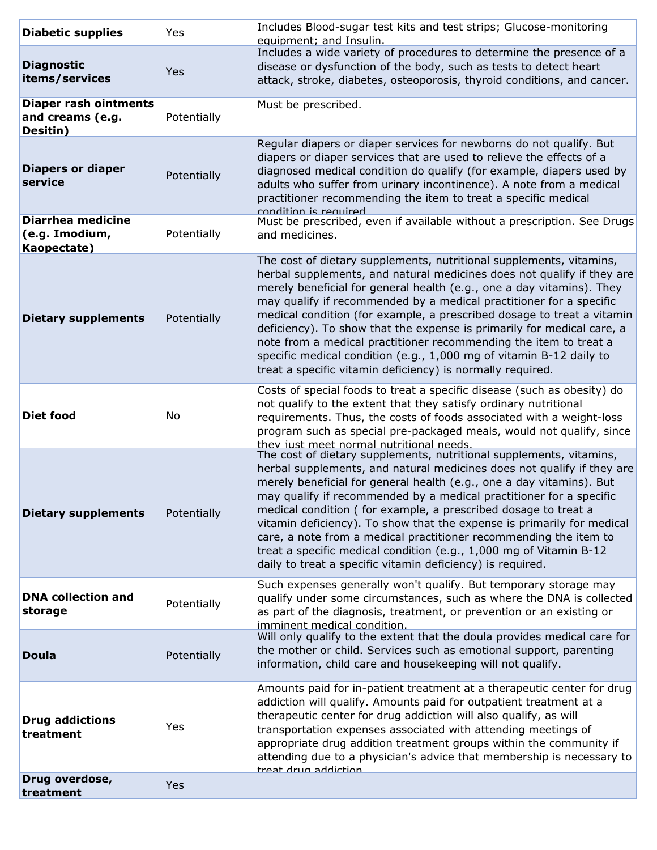| <b>Diabetic supplies</b>                                     | Yes         | Includes Blood-sugar test kits and test strips; Glucose-monitoring<br>equipment; and Insulin.                                                                                                                                                                                                                                                                                                                                                                                                                                                                                                                                                               |
|--------------------------------------------------------------|-------------|-------------------------------------------------------------------------------------------------------------------------------------------------------------------------------------------------------------------------------------------------------------------------------------------------------------------------------------------------------------------------------------------------------------------------------------------------------------------------------------------------------------------------------------------------------------------------------------------------------------------------------------------------------------|
| <b>Diagnostic</b><br>items/services                          | Yes         | Includes a wide variety of procedures to determine the presence of a<br>disease or dysfunction of the body, such as tests to detect heart<br>attack, stroke, diabetes, osteoporosis, thyroid conditions, and cancer.                                                                                                                                                                                                                                                                                                                                                                                                                                        |
| <b>Diaper rash ointments</b><br>and creams (e.g.<br>Desitin) | Potentially | Must be prescribed.                                                                                                                                                                                                                                                                                                                                                                                                                                                                                                                                                                                                                                         |
| <b>Diapers or diaper</b><br>service                          | Potentially | Regular diapers or diaper services for newborns do not qualify. But<br>diapers or diaper services that are used to relieve the effects of a<br>diagnosed medical condition do qualify (for example, diapers used by<br>adults who suffer from urinary incontinence). A note from a medical<br>practitioner recommending the item to treat a specific medical<br>condition is required                                                                                                                                                                                                                                                                       |
| <b>Diarrhea medicine</b><br>(e.g. Imodium,<br>Kaopectate)    | Potentially | Must be prescribed, even if available without a prescription. See Drugs<br>and medicines.                                                                                                                                                                                                                                                                                                                                                                                                                                                                                                                                                                   |
| <b>Dietary supplements</b>                                   | Potentially | The cost of dietary supplements, nutritional supplements, vitamins,<br>herbal supplements, and natural medicines does not qualify if they are<br>merely beneficial for general health (e.g., one a day vitamins). They<br>may qualify if recommended by a medical practitioner for a specific<br>medical condition (for example, a prescribed dosage to treat a vitamin<br>deficiency). To show that the expense is primarily for medical care, a<br>note from a medical practitioner recommending the item to treat a<br>specific medical condition (e.g., 1,000 mg of vitamin B-12 daily to<br>treat a specific vitamin deficiency) is normally required. |
| <b>Diet food</b>                                             | No          | Costs of special foods to treat a specific disease (such as obesity) do<br>not qualify to the extent that they satisfy ordinary nutritional<br>requirements. Thus, the costs of foods associated with a weight-loss<br>program such as special pre-packaged meals, would not qualify, since<br>they just meet normal nutritional needs.                                                                                                                                                                                                                                                                                                                     |
| <b>Dietary supplements</b>                                   | Potentially | The cost of dietary supplements, nutritional supplements, vitamins,<br>herbal supplements, and natural medicines does not qualify if they are<br>merely beneficial for general health (e.g., one a day vitamins). But<br>may qualify if recommended by a medical practitioner for a specific<br>medical condition (for example, a prescribed dosage to treat a<br>vitamin deficiency). To show that the expense is primarily for medical<br>care, a note from a medical practitioner recommending the item to<br>treat a specific medical condition (e.g., 1,000 mg of Vitamin B-12<br>daily to treat a specific vitamin deficiency) is required.           |
| <b>DNA collection and</b><br>storage                         | Potentially | Such expenses generally won't qualify. But temporary storage may<br>qualify under some circumstances, such as where the DNA is collected<br>as part of the diagnosis, treatment, or prevention or an existing or<br>imminent medical condition.                                                                                                                                                                                                                                                                                                                                                                                                             |
| <b>Doula</b>                                                 | Potentially | Will only qualify to the extent that the doula provides medical care for<br>the mother or child. Services such as emotional support, parenting<br>information, child care and housekeeping will not qualify.                                                                                                                                                                                                                                                                                                                                                                                                                                                |
| <b>Drug addictions</b><br>treatment                          | Yes         | Amounts paid for in-patient treatment at a therapeutic center for drug<br>addiction will qualify. Amounts paid for outpatient treatment at a<br>therapeutic center for drug addiction will also qualify, as will<br>transportation expenses associated with attending meetings of<br>appropriate drug addition treatment groups within the community if<br>attending due to a physician's advice that membership is necessary to<br>treat drug addiction                                                                                                                                                                                                    |
| Drug overdose,<br>treatment                                  | Yes         |                                                                                                                                                                                                                                                                                                                                                                                                                                                                                                                                                                                                                                                             |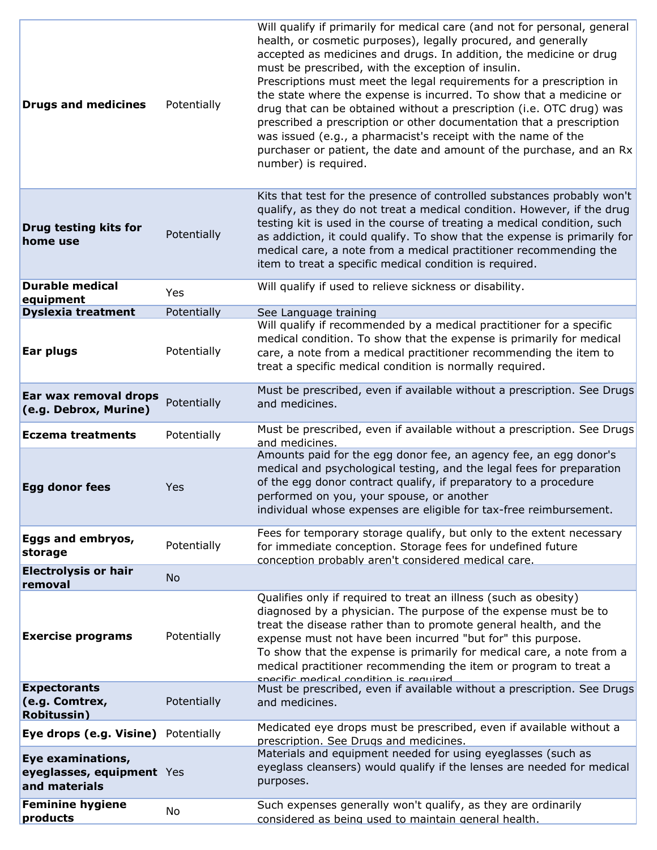| <b>Drugs and medicines</b>                                      | Potentially | Will qualify if primarily for medical care (and not for personal, general<br>health, or cosmetic purposes), legally procured, and generally<br>accepted as medicines and drugs. In addition, the medicine or drug<br>must be prescribed, with the exception of insulin.<br>Prescriptions must meet the legal requirements for a prescription in<br>the state where the expense is incurred. To show that a medicine or<br>drug that can be obtained without a prescription (i.e. OTC drug) was<br>prescribed a prescription or other documentation that a prescription<br>was issued (e.g., a pharmacist's receipt with the name of the<br>purchaser or patient, the date and amount of the purchase, and an Rx<br>number) is required. |
|-----------------------------------------------------------------|-------------|-----------------------------------------------------------------------------------------------------------------------------------------------------------------------------------------------------------------------------------------------------------------------------------------------------------------------------------------------------------------------------------------------------------------------------------------------------------------------------------------------------------------------------------------------------------------------------------------------------------------------------------------------------------------------------------------------------------------------------------------|
| Drug testing kits for<br>home use                               | Potentially | Kits that test for the presence of controlled substances probably won't<br>qualify, as they do not treat a medical condition. However, if the drug<br>testing kit is used in the course of treating a medical condition, such<br>as addiction, it could qualify. To show that the expense is primarily for<br>medical care, a note from a medical practitioner recommending the<br>item to treat a specific medical condition is required.                                                                                                                                                                                                                                                                                              |
| <b>Durable medical</b>                                          | Yes         | Will qualify if used to relieve sickness or disability.                                                                                                                                                                                                                                                                                                                                                                                                                                                                                                                                                                                                                                                                                 |
| equipment<br><b>Dyslexia treatment</b>                          | Potentially | See Language training                                                                                                                                                                                                                                                                                                                                                                                                                                                                                                                                                                                                                                                                                                                   |
| Ear plugs                                                       | Potentially | Will qualify if recommended by a medical practitioner for a specific<br>medical condition. To show that the expense is primarily for medical<br>care, a note from a medical practitioner recommending the item to<br>treat a specific medical condition is normally required.                                                                                                                                                                                                                                                                                                                                                                                                                                                           |
| Ear wax removal drops<br>(e.g. Debrox, Murine)                  | Potentially | Must be prescribed, even if available without a prescription. See Drugs<br>and medicines.                                                                                                                                                                                                                                                                                                                                                                                                                                                                                                                                                                                                                                               |
| <b>Eczema treatments</b>                                        | Potentially | Must be prescribed, even if available without a prescription. See Drugs<br>and medicines.                                                                                                                                                                                                                                                                                                                                                                                                                                                                                                                                                                                                                                               |
| <b>Egg donor fees</b>                                           | Yes         | Amounts paid for the egg donor fee, an agency fee, an egg donor's<br>medical and psychological testing, and the legal fees for preparation<br>of the egg donor contract qualify, if preparatory to a procedure<br>performed on you, your spouse, or another<br>individual whose expenses are eligible for tax-free reimbursement.                                                                                                                                                                                                                                                                                                                                                                                                       |
| Eggs and embryos,<br>storage                                    | Potentially | Fees for temporary storage qualify, but only to the extent necessary<br>for immediate conception. Storage fees for undefined future<br>conception probably aren't considered medical care.                                                                                                                                                                                                                                                                                                                                                                                                                                                                                                                                              |
| <b>Electrolysis or hair</b><br>removal                          | <b>No</b>   |                                                                                                                                                                                                                                                                                                                                                                                                                                                                                                                                                                                                                                                                                                                                         |
| <b>Exercise programs</b>                                        | Potentially | Qualifies only if required to treat an illness (such as obesity)<br>diagnosed by a physician. The purpose of the expense must be to<br>treat the disease rather than to promote general health, and the<br>expense must not have been incurred "but for" this purpose.<br>To show that the expense is primarily for medical care, a note from a<br>medical practitioner recommending the item or program to treat a<br>cnecific medical condition is required                                                                                                                                                                                                                                                                           |
| <b>Expectorants</b><br>(e.g. Comtrex,<br><b>Robitussin</b> )    | Potentially | Must be prescribed, even if available without a prescription. See Drugs<br>and medicines.                                                                                                                                                                                                                                                                                                                                                                                                                                                                                                                                                                                                                                               |
| Eye drops (e.g. Visine) Potentially                             |             | Medicated eye drops must be prescribed, even if available without a<br>prescription. See Drugs and medicines.                                                                                                                                                                                                                                                                                                                                                                                                                                                                                                                                                                                                                           |
| Eye examinations,<br>eyeglasses, equipment Yes<br>and materials |             | Materials and equipment needed for using eyeglasses (such as<br>eyeglass cleansers) would qualify if the lenses are needed for medical<br>purposes.                                                                                                                                                                                                                                                                                                                                                                                                                                                                                                                                                                                     |
| <b>Feminine hygiene</b><br>products                             | No          | Such expenses generally won't qualify, as they are ordinarily<br>considered as being used to maintain general health.                                                                                                                                                                                                                                                                                                                                                                                                                                                                                                                                                                                                                   |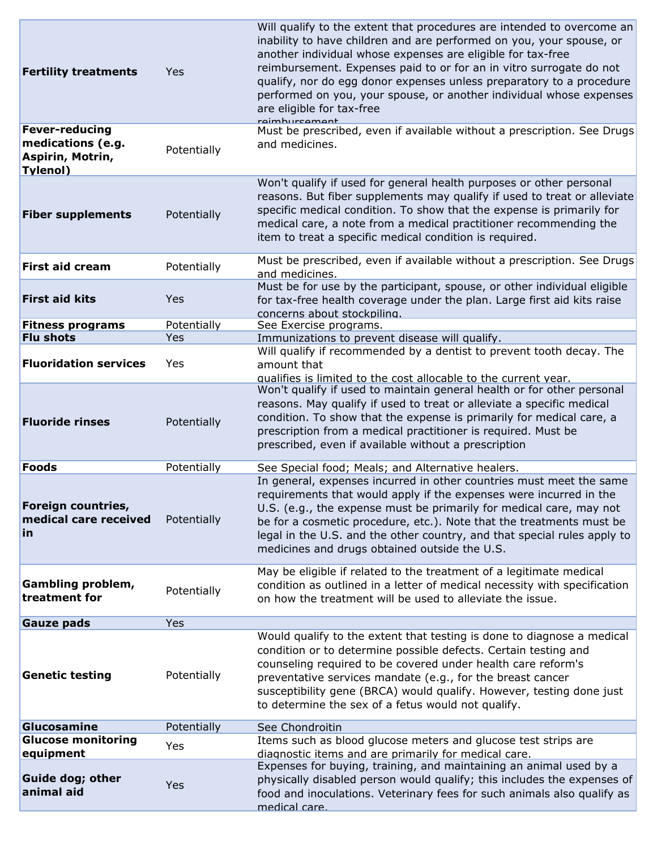| <b>Fertility treatments</b>                                                       | Yes         | Will qualify to the extent that procedures are intended to overcome an<br>inability to have children and are performed on you, your spouse, or<br>another individual whose expenses are eligible for tax-free<br>reimbursement. Expenses paid to or for an in vitro surrogate do not<br>qualify, nor do egg donor expenses unless preparatory to a procedure<br>performed on you, your spouse, or another individual whose expenses<br>are eligible for tax-free<br>raimhurcamant |
|-----------------------------------------------------------------------------------|-------------|-----------------------------------------------------------------------------------------------------------------------------------------------------------------------------------------------------------------------------------------------------------------------------------------------------------------------------------------------------------------------------------------------------------------------------------------------------------------------------------|
| <b>Fever-reducing</b><br>medications (e.g.<br>Aspirin, Motrin,<br><b>Tylenol)</b> | Potentially | Must be prescribed, even if available without a prescription. See Drugs<br>and medicines.                                                                                                                                                                                                                                                                                                                                                                                         |
| <b>Fiber supplements</b>                                                          | Potentially | Won't qualify if used for general health purposes or other personal<br>reasons. But fiber supplements may qualify if used to treat or alleviate<br>specific medical condition. To show that the expense is primarily for<br>medical care, a note from a medical practitioner recommending the<br>item to treat a specific medical condition is required.                                                                                                                          |
| <b>First aid cream</b>                                                            | Potentially | Must be prescribed, even if available without a prescription. See Drugs<br>and medicines.                                                                                                                                                                                                                                                                                                                                                                                         |
| <b>First aid kits</b>                                                             | Yes         | Must be for use by the participant, spouse, or other individual eligible<br>for tax-free health coverage under the plan. Large first aid kits raise<br>concerns about stockpiling.                                                                                                                                                                                                                                                                                                |
| <b>Fitness programs</b>                                                           | Potentially | See Exercise programs.                                                                                                                                                                                                                                                                                                                                                                                                                                                            |
| <b>Flu shots</b>                                                                  | Yes         | Immunizations to prevent disease will qualify.                                                                                                                                                                                                                                                                                                                                                                                                                                    |
| <b>Fluoridation services</b>                                                      | Yes         | Will qualify if recommended by a dentist to prevent tooth decay. The<br>amount that<br>qualifies is limited to the cost allocable to the current year.                                                                                                                                                                                                                                                                                                                            |
| <b>Fluoride rinses</b>                                                            | Potentially | Won't qualify if used to maintain general health or for other personal<br>reasons. May qualify if used to treat or alleviate a specific medical<br>condition. To show that the expense is primarily for medical care, a<br>prescription from a medical practitioner is required. Must be<br>prescribed, even if available without a prescription                                                                                                                                  |
| Foods                                                                             | Potentially | See Special food; Meals; and Alternative healers.                                                                                                                                                                                                                                                                                                                                                                                                                                 |
| Foreign countries,<br>medical care received<br><u>in</u>                          | Potentially | In general, expenses incurred in other countries must meet the same<br>requirements that would apply if the expenses were incurred in the<br>U.S. (e.g., the expense must be primarily for medical care, may not<br>be for a cosmetic procedure, etc.). Note that the treatments must be<br>legal in the U.S. and the other country, and that special rules apply to<br>medicines and drugs obtained outside the U.S.                                                             |
| <b>Gambling problem,</b><br>treatment for                                         | Potentially | May be eligible if related to the treatment of a legitimate medical<br>condition as outlined in a letter of medical necessity with specification<br>on how the treatment will be used to alleviate the issue.                                                                                                                                                                                                                                                                     |
| <b>Gauze pads</b>                                                                 | <b>Yes</b>  |                                                                                                                                                                                                                                                                                                                                                                                                                                                                                   |
| <b>Genetic testing</b>                                                            | Potentially | Would qualify to the extent that testing is done to diagnose a medical<br>condition or to determine possible defects. Certain testing and<br>counseling required to be covered under health care reform's<br>preventative services mandate (e.g., for the breast cancer<br>susceptibility gene (BRCA) would qualify. However, testing done just<br>to determine the sex of a fetus would not qualify.                                                                             |
| Glucosamine                                                                       | Potentially | See Chondroitin                                                                                                                                                                                                                                                                                                                                                                                                                                                                   |
| <b>Glucose monitoring</b>                                                         | Yes         | Items such as blood glucose meters and glucose test strips are                                                                                                                                                                                                                                                                                                                                                                                                                    |
| equipment                                                                         |             | diagnostic items and are primarily for medical care.                                                                                                                                                                                                                                                                                                                                                                                                                              |
| <b>Guide dog; other</b><br>animal aid                                             | Yes         | Expenses for buying, training, and maintaining an animal used by a<br>physically disabled person would qualify; this includes the expenses of<br>food and inoculations. Veterinary fees for such animals also qualify as<br>medical care.                                                                                                                                                                                                                                         |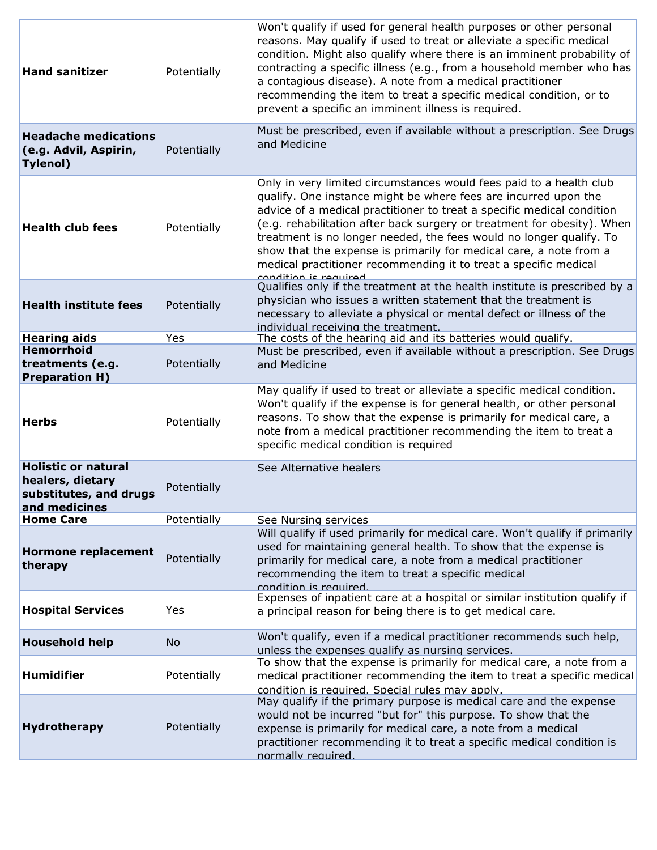| <b>Hand sanitizer</b>                                                                     | Potentially                | Won't qualify if used for general health purposes or other personal<br>reasons. May qualify if used to treat or alleviate a specific medical<br>condition. Might also qualify where there is an imminent probability of<br>contracting a specific illness (e.g., from a household member who has<br>a contagious disease). A note from a medical practitioner<br>recommending the item to treat a specific medical condition, or to<br>prevent a specific an imminent illness is required.                                            |
|-------------------------------------------------------------------------------------------|----------------------------|---------------------------------------------------------------------------------------------------------------------------------------------------------------------------------------------------------------------------------------------------------------------------------------------------------------------------------------------------------------------------------------------------------------------------------------------------------------------------------------------------------------------------------------|
| <b>Headache medications</b><br>(e.g. Advil, Aspirin,<br><b>Tylenol</b> )                  | Potentially                | Must be prescribed, even if available without a prescription. See Drugs<br>and Medicine                                                                                                                                                                                                                                                                                                                                                                                                                                               |
| <b>Health club fees</b>                                                                   | Potentially                | Only in very limited circumstances would fees paid to a health club<br>qualify. One instance might be where fees are incurred upon the<br>advice of a medical practitioner to treat a specific medical condition<br>(e.g. rehabilitation after back surgery or treatment for obesity). When<br>treatment is no longer needed, the fees would no longer qualify. To<br>show that the expense is primarily for medical care, a note from a<br>medical practitioner recommending it to treat a specific medical<br>condition is roquirad |
| <b>Health institute fees</b>                                                              | Potentially                | Qualifies only if the treatment at the health institute is prescribed by a<br>physician who issues a written statement that the treatment is<br>necessary to alleviate a physical or mental defect or illness of the<br>individual receiving the treatment.                                                                                                                                                                                                                                                                           |
| <b>Hearing aids</b><br><b>Hemorrhoid</b><br>treatments (e.g.<br><b>Preparation H)</b>     | Yes<br>Potentially         | The costs of the hearing aid and its batteries would qualify.<br>Must be prescribed, even if available without a prescription. See Drugs<br>and Medicine                                                                                                                                                                                                                                                                                                                                                                              |
| <b>Herbs</b>                                                                              | Potentially                | May qualify if used to treat or alleviate a specific medical condition.<br>Won't qualify if the expense is for general health, or other personal<br>reasons. To show that the expense is primarily for medical care, a<br>note from a medical practitioner recommending the item to treat a<br>specific medical condition is required                                                                                                                                                                                                 |
| <b>Holistic or natural</b><br>healers, dietary<br>substitutes, and drugs<br>and medicines | Potentially                | See Alternative healers                                                                                                                                                                                                                                                                                                                                                                                                                                                                                                               |
| <b>Home Care</b><br><b>Hormone replacement</b><br>therapy                                 | Potentially<br>Potentially | See Nursing services<br>Will qualify if used primarily for medical care. Won't qualify if primarily<br>used for maintaining general health. To show that the expense is<br>primarily for medical care, a note from a medical practitioner<br>recommending the item to treat a specific medical<br>condition is required                                                                                                                                                                                                               |
| <b>Hospital Services</b>                                                                  | Yes                        | Expenses of inpatient care at a hospital or similar institution qualify if<br>a principal reason for being there is to get medical care.                                                                                                                                                                                                                                                                                                                                                                                              |
| <b>Household help</b>                                                                     | <b>No</b>                  | Won't qualify, even if a medical practitioner recommends such help,<br>unless the expenses qualify as nursing services.                                                                                                                                                                                                                                                                                                                                                                                                               |
| <b>Humidifier</b>                                                                         | Potentially                | To show that the expense is primarily for medical care, a note from a<br>medical practitioner recommending the item to treat a specific medical<br>condition is required. Special rules may apply.                                                                                                                                                                                                                                                                                                                                    |
| <b>Hydrotherapy</b>                                                                       | Potentially                | May qualify if the primary purpose is medical care and the expense<br>would not be incurred "but for" this purpose. To show that the<br>expense is primarily for medical care, a note from a medical<br>practitioner recommending it to treat a specific medical condition is<br>normally required.                                                                                                                                                                                                                                   |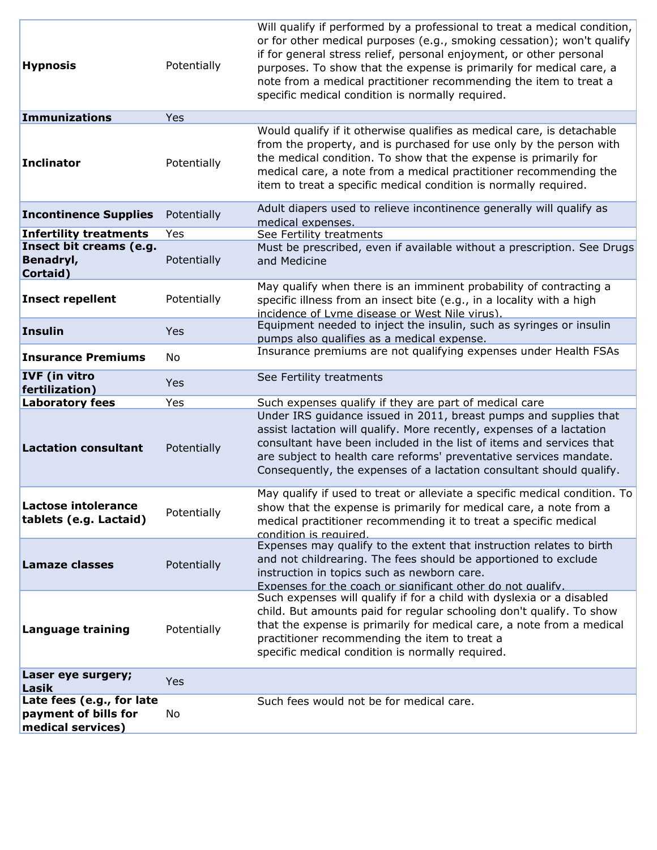| <b>Hypnosis</b>                                                        | Potentially        | Will qualify if performed by a professional to treat a medical condition,<br>or for other medical purposes (e.g., smoking cessation); won't qualify<br>if for general stress relief, personal enjoyment, or other personal<br>purposes. To show that the expense is primarily for medical care, a<br>note from a medical practitioner recommending the item to treat a<br>specific medical condition is normally required. |
|------------------------------------------------------------------------|--------------------|----------------------------------------------------------------------------------------------------------------------------------------------------------------------------------------------------------------------------------------------------------------------------------------------------------------------------------------------------------------------------------------------------------------------------|
| Immunizations                                                          | Yes                |                                                                                                                                                                                                                                                                                                                                                                                                                            |
| Inclinator                                                             | Potentially        | Would qualify if it otherwise qualifies as medical care, is detachable<br>from the property, and is purchased for use only by the person with<br>the medical condition. To show that the expense is primarily for<br>medical care, a note from a medical practitioner recommending the<br>item to treat a specific medical condition is normally required.                                                                 |
| <b>Incontinence Supplies</b>                                           | Potentially        | Adult diapers used to relieve incontinence generally will qualify as<br>medical expenses.                                                                                                                                                                                                                                                                                                                                  |
| <b>Infertility treatments</b>                                          | Yes                | See Fertility treatments                                                                                                                                                                                                                                                                                                                                                                                                   |
| Insect bit creams (e.g.<br>Benadryl,<br>Cortaid)                       | Potentially        | Must be prescribed, even if available without a prescription. See Drugs<br>and Medicine                                                                                                                                                                                                                                                                                                                                    |
| <b>Insect repellent</b>                                                | Potentially        | May qualify when there is an imminent probability of contracting a<br>specific illness from an insect bite (e.g., in a locality with a high<br>incidence of Lyme disease or West Nile virus).                                                                                                                                                                                                                              |
| Insulin                                                                | Yes                | Equipment needed to inject the insulin, such as syringes or insulin<br>pumps also qualifies as a medical expense.                                                                                                                                                                                                                                                                                                          |
| <b>Insurance Premiums</b>                                              | No                 | Insurance premiums are not qualifying expenses under Health FSAs                                                                                                                                                                                                                                                                                                                                                           |
| <b>IVF</b> (in vitro<br>fertilization)                                 | Yes                | See Fertility treatments                                                                                                                                                                                                                                                                                                                                                                                                   |
| <b>Laboratory fees</b><br><b>Lactation consultant</b>                  | Yes<br>Potentially | Such expenses qualify if they are part of medical care<br>Under IRS guidance issued in 2011, breast pumps and supplies that<br>assist lactation will qualify. More recently, expenses of a lactation<br>consultant have been included in the list of items and services that<br>are subject to health care reforms' preventative services mandate.<br>Consequently, the expenses of a lactation consultant should qualify. |
| <b>Lactose intolerance</b><br>tablets (e.g. Lactaid)                   | Potentially        | May qualify if used to treat or alleviate a specific medical condition. To<br>show that the expense is primarily for medical care, a note from a<br>medical practitioner recommending it to treat a specific medical<br>condition is required.                                                                                                                                                                             |
| <b>Lamaze classes</b>                                                  | Potentially        | Expenses may qualify to the extent that instruction relates to birth<br>and not childrearing. The fees should be apportioned to exclude<br>instruction in topics such as newborn care.<br>Expenses for the coach or significant other do not qualify.                                                                                                                                                                      |
| Language training                                                      | Potentially        | Such expenses will qualify if for a child with dyslexia or a disabled<br>child. But amounts paid for regular schooling don't qualify. To show<br>that the expense is primarily for medical care, a note from a medical<br>practitioner recommending the item to treat a<br>specific medical condition is normally required.                                                                                                |
| Laser eye surgery;<br>Lasik                                            | Yes                |                                                                                                                                                                                                                                                                                                                                                                                                                            |
| Late fees (e.g., for late<br>payment of bills for<br>medical services) | No                 | Such fees would not be for medical care.                                                                                                                                                                                                                                                                                                                                                                                   |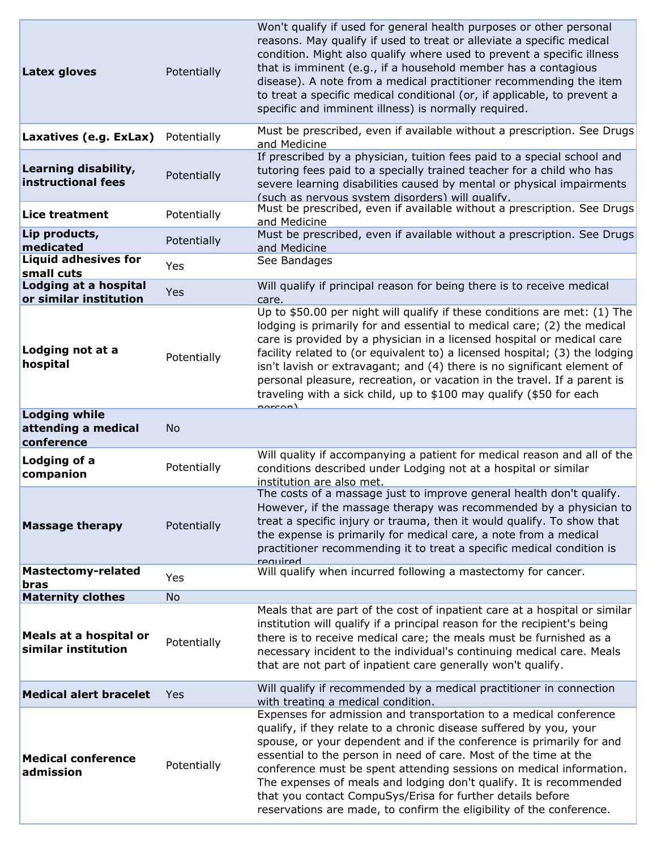| <b>Latex gloves</b>                                                       | Potentially              | Won't qualify if used for general health purposes or other personal<br>reasons. May qualify if used to treat or alleviate a specific medical<br>condition. Might also qualify where used to prevent a specific illness<br>that is imminent (e.g., if a household member has a contagious<br>disease). A note from a medical practitioner recommending the item<br>to treat a specific medical conditional (or, if applicable, to prevent a<br>specific and imminent illness) is normally required.                                                                     |
|---------------------------------------------------------------------------|--------------------------|------------------------------------------------------------------------------------------------------------------------------------------------------------------------------------------------------------------------------------------------------------------------------------------------------------------------------------------------------------------------------------------------------------------------------------------------------------------------------------------------------------------------------------------------------------------------|
| Laxatives (e.g. ExLax)                                                    | Potentially              | Must be prescribed, even if available without a prescription. See Drugs<br>and Medicine                                                                                                                                                                                                                                                                                                                                                                                                                                                                                |
| Learning disability,<br>instructional fees                                | Potentially              | If prescribed by a physician, tuition fees paid to a special school and<br>tutoring fees paid to a specially trained teacher for a child who has<br>severe learning disabilities caused by mental or physical impairments<br>(such as nervous system disorders) will qualify.                                                                                                                                                                                                                                                                                          |
| <b>Lice treatment</b>                                                     | Potentially              | Must be prescribed, even if available without a prescription. See Drugs<br>and Medicine                                                                                                                                                                                                                                                                                                                                                                                                                                                                                |
| Lip products,<br>medicated                                                | Potentially              | Must be prescribed, even if available without a prescription. See Drugs<br>and Medicine                                                                                                                                                                                                                                                                                                                                                                                                                                                                                |
| <b>Liquid adhesives for</b><br>small cuts                                 | Yes                      | See Bandages                                                                                                                                                                                                                                                                                                                                                                                                                                                                                                                                                           |
| Lodging at a hospital<br>or similar institution                           | Yes                      | Will qualify if principal reason for being there is to receive medical<br>care.                                                                                                                                                                                                                                                                                                                                                                                                                                                                                        |
| Lodging not at a<br>hospital                                              | Potentially              | Up to \$50.00 per night will qualify if these conditions are met: (1) The<br>lodging is primarily for and essential to medical care; (2) the medical<br>care is provided by a physician in a licensed hospital or medical care<br>facility related to (or equivalent to) a licensed hospital; (3) the lodging<br>isn't lavish or extravagant; and (4) there is no significant element of<br>personal pleasure, recreation, or vacation in the travel. If a parent is<br>traveling with a sick child, up to \$100 may qualify (\$50 for each<br>narcon)                 |
| <b>Lodging while</b><br>attending a medical<br>conference                 | <b>No</b>                |                                                                                                                                                                                                                                                                                                                                                                                                                                                                                                                                                                        |
| Lodging of a<br>companion                                                 | Potentially              | Will quality if accompanying a patient for medical reason and all of the<br>conditions described under Lodging not at a hospital or similar<br>institution are also met.                                                                                                                                                                                                                                                                                                                                                                                               |
| <b>Massage therapy</b>                                                    | Potentially              | The costs of a massage just to improve general health don't qualify.<br>However, if the massage therapy was recommended by a physician to<br>treat a specific injury or trauma, then it would qualify. To show that<br>the expense is primarily for medical care, a note from a medical<br>practitioner recommending it to treat a specific medical condition is<br>required                                                                                                                                                                                           |
| Mastectomy-related<br>bras                                                | Yes                      | Will qualify when incurred following a mastectomy for cancer.                                                                                                                                                                                                                                                                                                                                                                                                                                                                                                          |
| <b>Maternity clothes</b><br>Meals at a hospital or<br>similar institution | <b>No</b><br>Potentially | Meals that are part of the cost of inpatient care at a hospital or similar<br>institution will qualify if a principal reason for the recipient's being<br>there is to receive medical care; the meals must be furnished as a<br>necessary incident to the individual's continuing medical care. Meals<br>that are not part of inpatient care generally won't qualify.                                                                                                                                                                                                  |
| <b>Medical alert bracelet</b>                                             | Yes                      | Will qualify if recommended by a medical practitioner in connection<br>with treating a medical condition.                                                                                                                                                                                                                                                                                                                                                                                                                                                              |
| <b>Medical conference</b><br>admission                                    | Potentially              | Expenses for admission and transportation to a medical conference<br>qualify, if they relate to a chronic disease suffered by you, your<br>spouse, or your dependent and if the conference is primarily for and<br>essential to the person in need of care. Most of the time at the<br>conference must be spent attending sessions on medical information.<br>The expenses of meals and lodging don't qualify. It is recommended<br>that you contact CompuSys/Erisa for further details before<br>reservations are made, to confirm the eligibility of the conference. |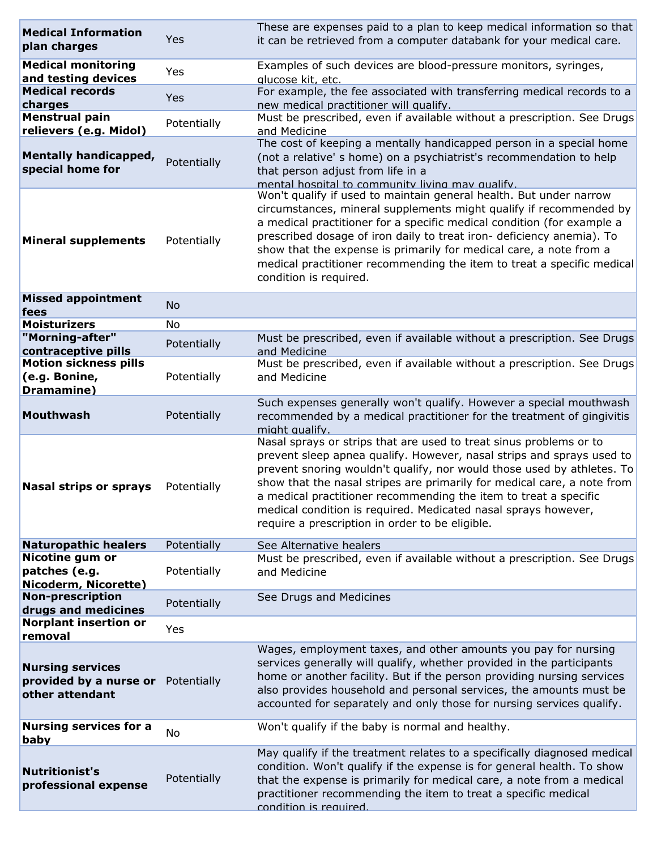| <b>Medical Information</b><br>plan charges                           | Yes         | These are expenses paid to a plan to keep medical information so that<br>it can be retrieved from a computer databank for your medical care.                                                                                                                                                                                                                                                                                                                                              |
|----------------------------------------------------------------------|-------------|-------------------------------------------------------------------------------------------------------------------------------------------------------------------------------------------------------------------------------------------------------------------------------------------------------------------------------------------------------------------------------------------------------------------------------------------------------------------------------------------|
| <b>Medical monitoring</b><br>and testing devices                     | Yes         | Examples of such devices are blood-pressure monitors, syringes,<br>glucose kit, etc.                                                                                                                                                                                                                                                                                                                                                                                                      |
| <b>Medical records</b><br>charges                                    | <b>Yes</b>  | For example, the fee associated with transferring medical records to a<br>new medical practitioner will qualify.                                                                                                                                                                                                                                                                                                                                                                          |
| <b>Menstrual pain</b>                                                | Potentially | Must be prescribed, even if available without a prescription. See Drugs                                                                                                                                                                                                                                                                                                                                                                                                                   |
| relievers (e.g. Midol)                                               |             | and Medicine<br>The cost of keeping a mentally handicapped person in a special home                                                                                                                                                                                                                                                                                                                                                                                                       |
| <b>Mentally handicapped,</b><br>special home for                     | Potentially | (not a relative' s home) on a psychiatrist's recommendation to help<br>that person adjust from life in a<br>mental hospital to community living may qualify.                                                                                                                                                                                                                                                                                                                              |
| <b>Mineral supplements</b>                                           | Potentially | Won't qualify if used to maintain general health. But under narrow<br>circumstances, mineral supplements might qualify if recommended by<br>a medical practitioner for a specific medical condition (for example a<br>prescribed dosage of iron daily to treat iron- deficiency anemia). To<br>show that the expense is primarily for medical care, a note from a<br>medical practitioner recommending the item to treat a specific medical<br>condition is required.                     |
| <b>Missed appointment</b><br>fees                                    | <b>No</b>   |                                                                                                                                                                                                                                                                                                                                                                                                                                                                                           |
| <b>Moisturizers</b>                                                  | No          |                                                                                                                                                                                                                                                                                                                                                                                                                                                                                           |
| "Morning-after"                                                      | Potentially | Must be prescribed, even if available without a prescription. See Drugs                                                                                                                                                                                                                                                                                                                                                                                                                   |
| contraceptive pills<br><b>Motion sickness pills</b>                  |             | and Medicine<br>Must be prescribed, even if available without a prescription. See Drugs                                                                                                                                                                                                                                                                                                                                                                                                   |
| (e.g. Bonine,<br>Dramamine)                                          | Potentially | and Medicine                                                                                                                                                                                                                                                                                                                                                                                                                                                                              |
| <b>Mouthwash</b>                                                     | Potentially | Such expenses generally won't qualify. However a special mouthwash<br>recommended by a medical practitioner for the treatment of gingivitis<br>might qualify.                                                                                                                                                                                                                                                                                                                             |
| <b>Nasal strips or sprays</b>                                        | Potentially | Nasal sprays or strips that are used to treat sinus problems or to<br>prevent sleep apnea qualify. However, nasal strips and sprays used to<br>prevent snoring wouldn't qualify, nor would those used by athletes. To<br>show that the nasal stripes are primarily for medical care, a note from<br>a medical practitioner recommending the item to treat a specific<br>medical condition is required. Medicated nasal sprays however,<br>require a prescription in order to be eligible. |
| <b>Naturopathic healers</b>                                          | Potentially | See Alternative healers                                                                                                                                                                                                                                                                                                                                                                                                                                                                   |
| <b>Nicotine gum or</b><br>patches (e.g.<br>Nicoderm, Nicorette)      | Potentially | Must be prescribed, even if available without a prescription. See Drugs<br>and Medicine                                                                                                                                                                                                                                                                                                                                                                                                   |
| <b>Non-prescription</b><br>drugs and medicines                       | Potentially | See Drugs and Medicines                                                                                                                                                                                                                                                                                                                                                                                                                                                                   |
| <b>Norplant insertion or</b><br>removal                              | Yes         |                                                                                                                                                                                                                                                                                                                                                                                                                                                                                           |
| <b>Nursing services</b><br>provided by a nurse or<br>other attendant | Potentially | Wages, employment taxes, and other amounts you pay for nursing<br>services generally will qualify, whether provided in the participants<br>home or another facility. But if the person providing nursing services<br>also provides household and personal services, the amounts must be<br>accounted for separately and only those for nursing services qualify.                                                                                                                          |
| <b>Nursing services for a</b><br>baby                                | No          | Won't qualify if the baby is normal and healthy.                                                                                                                                                                                                                                                                                                                                                                                                                                          |
| <b>Nutritionist's</b><br>professional expense                        | Potentially | May qualify if the treatment relates to a specifically diagnosed medical<br>condition. Won't qualify if the expense is for general health. To show<br>that the expense is primarily for medical care, a note from a medical<br>practitioner recommending the item to treat a specific medical<br>condition is required                                                                                                                                                                    |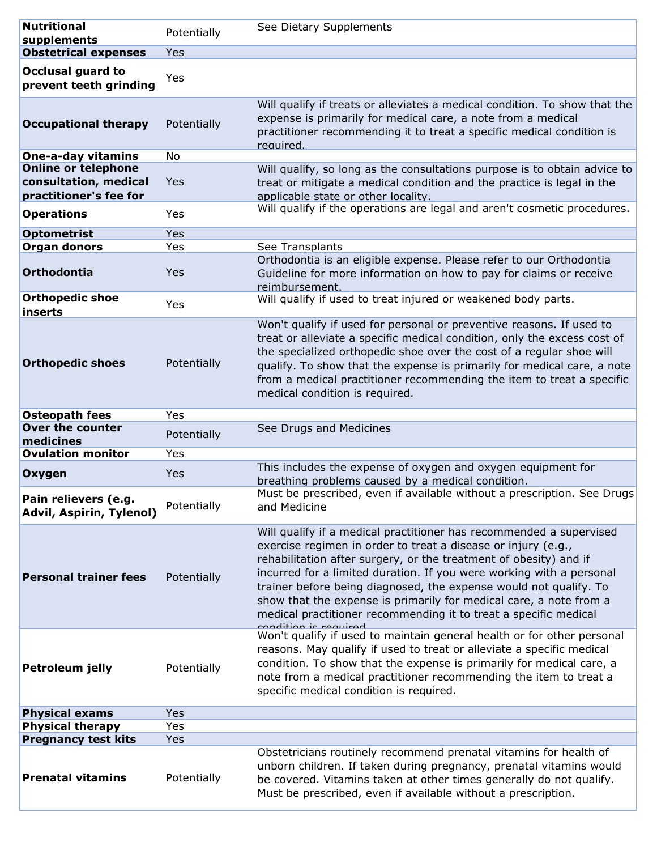| <b>Nutritional</b>                                                            | Potentially | See Dietary Supplements                                                                                                                                                                                                                                                                                                                                                                                                                                                                                                   |
|-------------------------------------------------------------------------------|-------------|---------------------------------------------------------------------------------------------------------------------------------------------------------------------------------------------------------------------------------------------------------------------------------------------------------------------------------------------------------------------------------------------------------------------------------------------------------------------------------------------------------------------------|
| supplements                                                                   |             |                                                                                                                                                                                                                                                                                                                                                                                                                                                                                                                           |
| <b>Obstetrical expenses</b>                                                   | Yes         |                                                                                                                                                                                                                                                                                                                                                                                                                                                                                                                           |
| <b>Occlusal guard to</b><br>prevent teeth grinding                            | Yes         |                                                                                                                                                                                                                                                                                                                                                                                                                                                                                                                           |
| <b>Occupational therapy</b>                                                   | Potentially | Will qualify if treats or alleviates a medical condition. To show that the<br>expense is primarily for medical care, a note from a medical<br>practitioner recommending it to treat a specific medical condition is<br>required.                                                                                                                                                                                                                                                                                          |
| <b>One-a-day vitamins</b>                                                     | No          |                                                                                                                                                                                                                                                                                                                                                                                                                                                                                                                           |
| <b>Online or telephone</b><br>consultation, medical<br>practitioner's fee for | Yes         | Will qualify, so long as the consultations purpose is to obtain advice to<br>treat or mitigate a medical condition and the practice is legal in the<br>applicable state or other locality.                                                                                                                                                                                                                                                                                                                                |
| <b>Operations</b>                                                             | Yes         | Will qualify if the operations are legal and aren't cosmetic procedures.                                                                                                                                                                                                                                                                                                                                                                                                                                                  |
| <b>Optometrist</b>                                                            | Yes         |                                                                                                                                                                                                                                                                                                                                                                                                                                                                                                                           |
| <b>Organ donors</b>                                                           | Yes         | See Transplants                                                                                                                                                                                                                                                                                                                                                                                                                                                                                                           |
| Orthodontia                                                                   | Yes         | Orthodontia is an eligible expense. Please refer to our Orthodontia<br>Guideline for more information on how to pay for claims or receive<br>reimbursement.                                                                                                                                                                                                                                                                                                                                                               |
| <b>Orthopedic shoe</b><br>inserts                                             | Yes         | Will qualify if used to treat injured or weakened body parts.                                                                                                                                                                                                                                                                                                                                                                                                                                                             |
| <b>Orthopedic shoes</b>                                                       | Potentially | Won't qualify if used for personal or preventive reasons. If used to<br>treat or alleviate a specific medical condition, only the excess cost of<br>the specialized orthopedic shoe over the cost of a regular shoe will<br>qualify. To show that the expense is primarily for medical care, a note<br>from a medical practitioner recommending the item to treat a specific<br>medical condition is required.                                                                                                            |
| <b>Osteopath fees</b>                                                         | Yes         |                                                                                                                                                                                                                                                                                                                                                                                                                                                                                                                           |
| <b>Over the counter</b><br>medicines                                          | Potentially | See Drugs and Medicines                                                                                                                                                                                                                                                                                                                                                                                                                                                                                                   |
| <b>Ovulation monitor</b>                                                      | Yes         |                                                                                                                                                                                                                                                                                                                                                                                                                                                                                                                           |
| Oxygen                                                                        | Yes         | This includes the expense of oxygen and oxygen equipment for<br>breathing problems caused by a medical condition.                                                                                                                                                                                                                                                                                                                                                                                                         |
| Pain relievers (e.g.<br>Advil, Aspirin, Tylenol)                              | Potentially | Must be prescribed, even if available without a prescription. See Drugs<br>and Medicine                                                                                                                                                                                                                                                                                                                                                                                                                                   |
| <b>Personal trainer fees</b>                                                  | Potentially | Will qualify if a medical practitioner has recommended a supervised<br>exercise regimen in order to treat a disease or injury (e.g.,<br>rehabilitation after surgery, or the treatment of obesity) and if<br>incurred for a limited duration. If you were working with a personal<br>trainer before being diagnosed, the expense would not qualify. To<br>show that the expense is primarily for medical care, a note from a<br>medical practitioner recommending it to treat a specific medical<br>condition is roquirod |
| Petroleum jelly                                                               | Potentially | Won't qualify if used to maintain general health or for other personal<br>reasons. May qualify if used to treat or alleviate a specific medical<br>condition. To show that the expense is primarily for medical care, a<br>note from a medical practitioner recommending the item to treat a<br>specific medical condition is required.                                                                                                                                                                                   |
| <b>Physical exams</b>                                                         | Yes         |                                                                                                                                                                                                                                                                                                                                                                                                                                                                                                                           |
| <b>Physical therapy</b>                                                       | Yes         |                                                                                                                                                                                                                                                                                                                                                                                                                                                                                                                           |
| <b>Pregnancy test kits</b>                                                    | Yes         |                                                                                                                                                                                                                                                                                                                                                                                                                                                                                                                           |
| <b>Prenatal vitamins</b>                                                      | Potentially | Obstetricians routinely recommend prenatal vitamins for health of<br>unborn children. If taken during pregnancy, prenatal vitamins would<br>be covered. Vitamins taken at other times generally do not qualify.                                                                                                                                                                                                                                                                                                           |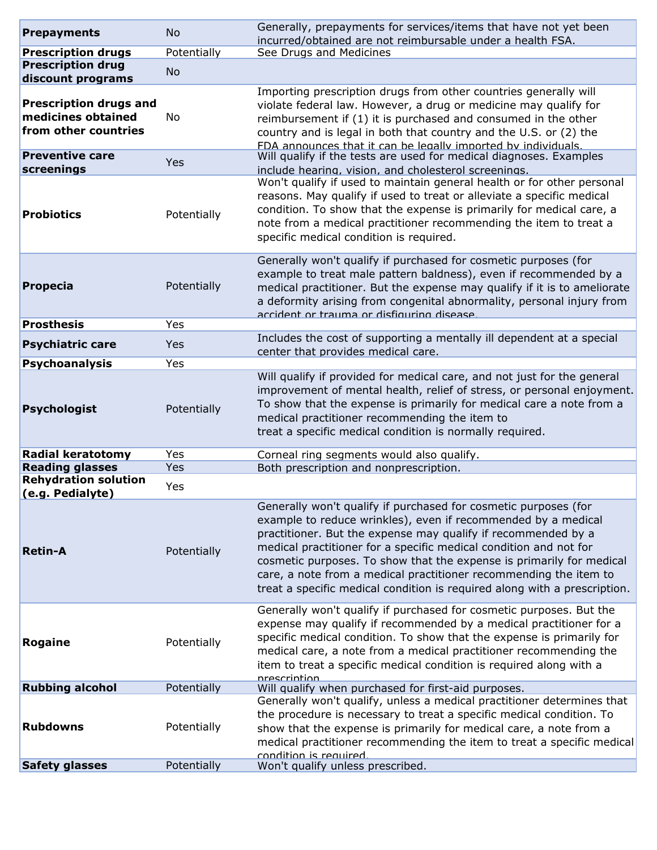| <b>Prepayments</b>                                                          | <b>No</b>   | Generally, prepayments for services/items that have not yet been<br>incurred/obtained are not reimbursable under a health FSA.                                                                                                                                                                                                                                                                                                                                                                   |
|-----------------------------------------------------------------------------|-------------|--------------------------------------------------------------------------------------------------------------------------------------------------------------------------------------------------------------------------------------------------------------------------------------------------------------------------------------------------------------------------------------------------------------------------------------------------------------------------------------------------|
| <b>Prescription drugs</b>                                                   | Potentially | See Drugs and Medicines                                                                                                                                                                                                                                                                                                                                                                                                                                                                          |
| <b>Prescription drug</b>                                                    | <b>No</b>   |                                                                                                                                                                                                                                                                                                                                                                                                                                                                                                  |
| discount programs                                                           |             |                                                                                                                                                                                                                                                                                                                                                                                                                                                                                                  |
| <b>Prescription drugs and</b><br>medicines obtained<br>from other countries | No          | Importing prescription drugs from other countries generally will<br>violate federal law. However, a drug or medicine may qualify for<br>reimbursement if (1) it is purchased and consumed in the other<br>country and is legal in both that country and the U.S. or (2) the<br>FDA announces that it can be legally imported by individuals.                                                                                                                                                     |
| <b>Preventive care</b><br>screenings                                        | Yes         | Will qualify if the tests are used for medical diagnoses. Examples<br>include hearing, vision, and cholesterol screenings.                                                                                                                                                                                                                                                                                                                                                                       |
| <b>Probiotics</b>                                                           | Potentially | Won't qualify if used to maintain general health or for other personal<br>reasons. May qualify if used to treat or alleviate a specific medical<br>condition. To show that the expense is primarily for medical care, a<br>note from a medical practitioner recommending the item to treat a<br>specific medical condition is required.                                                                                                                                                          |
| <b>Propecia</b>                                                             | Potentially | Generally won't qualify if purchased for cosmetic purposes (for<br>example to treat male pattern baldness), even if recommended by a<br>medical practitioner. But the expense may qualify if it is to ameliorate<br>a deformity arising from congenital abnormality, personal injury from<br>accident or trauma or disfiguring disease                                                                                                                                                           |
| <b>Prosthesis</b>                                                           | Yes         |                                                                                                                                                                                                                                                                                                                                                                                                                                                                                                  |
| <b>Psychiatric care</b>                                                     | Yes         | Includes the cost of supporting a mentally ill dependent at a special<br>center that provides medical care.                                                                                                                                                                                                                                                                                                                                                                                      |
| <b>Psychoanalysis</b>                                                       | Yes         |                                                                                                                                                                                                                                                                                                                                                                                                                                                                                                  |
| <b>Psychologist</b>                                                         | Potentially | Will qualify if provided for medical care, and not just for the general<br>improvement of mental health, relief of stress, or personal enjoyment.<br>To show that the expense is primarily for medical care a note from a                                                                                                                                                                                                                                                                        |
|                                                                             |             | medical practitioner recommending the item to<br>treat a specific medical condition is normally required.                                                                                                                                                                                                                                                                                                                                                                                        |
| <b>Radial keratotomy</b>                                                    | Yes         | Corneal ring segments would also qualify.                                                                                                                                                                                                                                                                                                                                                                                                                                                        |
| <b>Reading glasses</b>                                                      | Yes         | Both prescription and nonprescription.                                                                                                                                                                                                                                                                                                                                                                                                                                                           |
| <b>Rehydration solution</b><br>(e.g. Pedialyte)                             | Yes         |                                                                                                                                                                                                                                                                                                                                                                                                                                                                                                  |
| <b>Retin-A</b>                                                              | Potentially | Generally won't qualify if purchased for cosmetic purposes (for<br>example to reduce wrinkles), even if recommended by a medical<br>practitioner. But the expense may qualify if recommended by a<br>medical practitioner for a specific medical condition and not for<br>cosmetic purposes. To show that the expense is primarily for medical<br>care, a note from a medical practitioner recommending the item to<br>treat a specific medical condition is required along with a prescription. |
| Rogaine                                                                     | Potentially | Generally won't qualify if purchased for cosmetic purposes. But the<br>expense may qualify if recommended by a medical practitioner for a<br>specific medical condition. To show that the expense is primarily for<br>medical care, a note from a medical practitioner recommending the<br>item to treat a specific medical condition is required along with a<br>nrescrintion                                                                                                                   |
| <b>Rubbing alcohol</b>                                                      | Potentially | Will qualify when purchased for first-aid purposes.                                                                                                                                                                                                                                                                                                                                                                                                                                              |
| <b>Rubdowns</b>                                                             | Potentially | Generally won't qualify, unless a medical practitioner determines that<br>the procedure is necessary to treat a specific medical condition. To<br>show that the expense is primarily for medical care, a note from a<br>medical practitioner recommending the item to treat a specific medical<br>condition is required.                                                                                                                                                                         |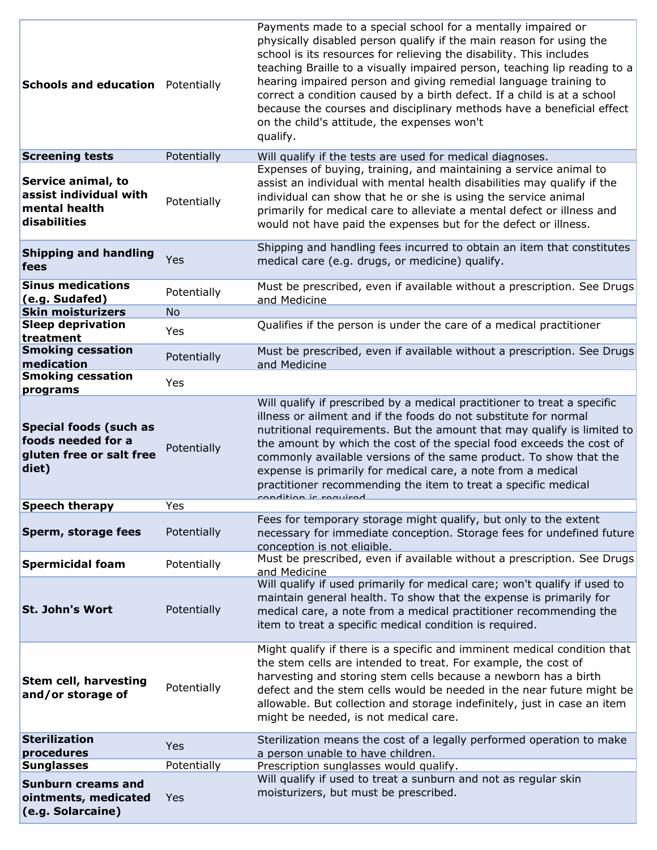| <b>Schools and education</b> Potentially                                                 |             | Payments made to a special school for a mentally impaired or<br>physically disabled person qualify if the main reason for using the<br>school is its resources for relieving the disability. This includes<br>teaching Braille to a visually impaired person, teaching lip reading to a<br>hearing impaired person and giving remedial language training to<br>correct a condition caused by a birth defect. If a child is at a school<br>because the courses and disciplinary methods have a beneficial effect<br>on the child's attitude, the expenses won't<br>qualify. |
|------------------------------------------------------------------------------------------|-------------|----------------------------------------------------------------------------------------------------------------------------------------------------------------------------------------------------------------------------------------------------------------------------------------------------------------------------------------------------------------------------------------------------------------------------------------------------------------------------------------------------------------------------------------------------------------------------|
| <b>Screening tests</b>                                                                   | Potentially | Will qualify if the tests are used for medical diagnoses.                                                                                                                                                                                                                                                                                                                                                                                                                                                                                                                  |
| Service animal, to<br>assist individual with<br>mental health<br>disabilities            | Potentially | Expenses of buying, training, and maintaining a service animal to<br>assist an individual with mental health disabilities may qualify if the<br>individual can show that he or she is using the service animal<br>primarily for medical care to alleviate a mental defect or illness and<br>would not have paid the expenses but for the defect or illness.                                                                                                                                                                                                                |
| <b>Shipping and handling</b><br>fees                                                     | Yes         | Shipping and handling fees incurred to obtain an item that constitutes<br>medical care (e.g. drugs, or medicine) qualify.                                                                                                                                                                                                                                                                                                                                                                                                                                                  |
| <b>Sinus medications</b><br>(e.g. Sudafed)<br><b>Skin moisturizers</b>                   | Potentially | Must be prescribed, even if available without a prescription. See Drugs<br>and Medicine                                                                                                                                                                                                                                                                                                                                                                                                                                                                                    |
| <b>Sleep deprivation</b>                                                                 | <b>No</b>   | Qualifies if the person is under the care of a medical practitioner                                                                                                                                                                                                                                                                                                                                                                                                                                                                                                        |
| treatment                                                                                | Yes         |                                                                                                                                                                                                                                                                                                                                                                                                                                                                                                                                                                            |
| <b>Smoking cessation</b><br>medication                                                   | Potentially | Must be prescribed, even if available without a prescription. See Drugs<br>and Medicine                                                                                                                                                                                                                                                                                                                                                                                                                                                                                    |
| <b>Smoking cessation</b><br>programs                                                     | Yes         |                                                                                                                                                                                                                                                                                                                                                                                                                                                                                                                                                                            |
| <b>Special foods (such as</b><br>foods needed for a<br>gluten free or salt free<br>diet) | Potentially | Will qualify if prescribed by a medical practitioner to treat a specific<br>illness or ailment and if the foods do not substitute for normal<br>nutritional requirements. But the amount that may qualify is limited to<br>the amount by which the cost of the special food exceeds the cost of<br>commonly available versions of the same product. To show that the<br>expense is primarily for medical care, a note from a medical<br>practitioner recommending the item to treat a specific medical<br><u>condition ic roquirad</u>                                     |
| <b>Speech therapy</b>                                                                    | Yes         |                                                                                                                                                                                                                                                                                                                                                                                                                                                                                                                                                                            |
| Sperm, storage fees                                                                      | Potentially | Fees for temporary storage might qualify, but only to the extent<br>necessary for immediate conception. Storage fees for undefined future<br>conception is not eligible.                                                                                                                                                                                                                                                                                                                                                                                                   |
| <b>Spermicidal foam</b>                                                                  | Potentially | Must be prescribed, even if available without a prescription. See Drugs<br>and Medicine                                                                                                                                                                                                                                                                                                                                                                                                                                                                                    |
| <b>St. John's Wort</b>                                                                   | Potentially | Will qualify if used primarily for medical care; won't qualify if used to<br>maintain general health. To show that the expense is primarily for<br>medical care, a note from a medical practitioner recommending the<br>item to treat a specific medical condition is required.                                                                                                                                                                                                                                                                                            |
| <b>Stem cell, harvesting</b><br>and/or storage of                                        | Potentially | Might qualify if there is a specific and imminent medical condition that<br>the stem cells are intended to treat. For example, the cost of<br>harvesting and storing stem cells because a newborn has a birth<br>defect and the stem cells would be needed in the near future might be<br>allowable. But collection and storage indefinitely, just in case an item<br>might be needed, is not medical care.                                                                                                                                                                |
| <b>Sterilization</b><br>procedures                                                       | Yes         | Sterilization means the cost of a legally performed operation to make<br>a person unable to have children.                                                                                                                                                                                                                                                                                                                                                                                                                                                                 |
| <b>Sunglasses</b>                                                                        | Potentially | Prescription sunglasses would qualify.                                                                                                                                                                                                                                                                                                                                                                                                                                                                                                                                     |
| <b>Sunburn creams and</b><br>ointments, medicated<br>(e.g. Solarcaine)                   | Yes         | Will qualify if used to treat a sunburn and not as regular skin<br>moisturizers, but must be prescribed.                                                                                                                                                                                                                                                                                                                                                                                                                                                                   |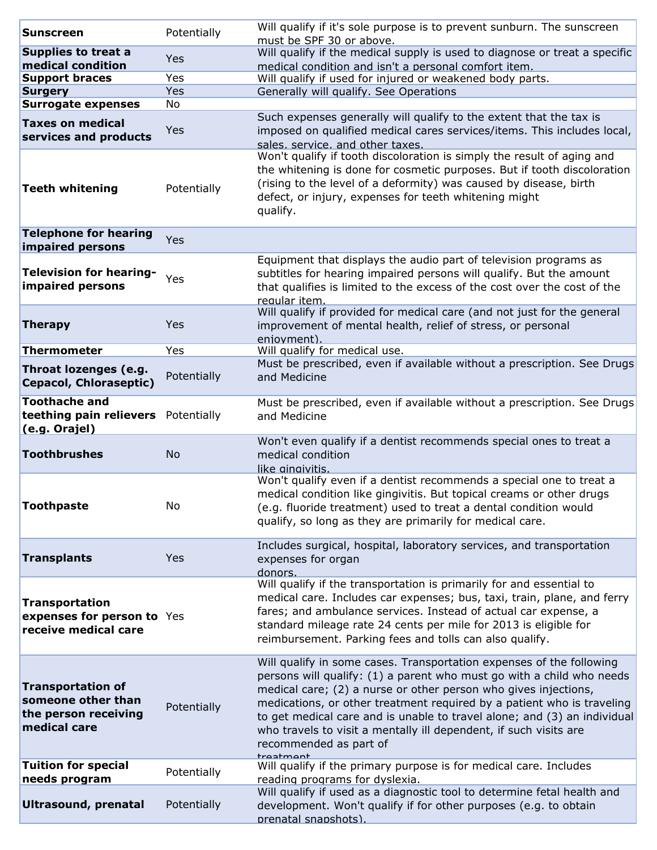| <b>Sunscreen</b>                                                                       | Potentially | Will qualify if it's sole purpose is to prevent sunburn. The sunscreen<br>must be SPF 30 or above.                                                                                                                                                                                                                                                                                                                                                                                 |
|----------------------------------------------------------------------------------------|-------------|------------------------------------------------------------------------------------------------------------------------------------------------------------------------------------------------------------------------------------------------------------------------------------------------------------------------------------------------------------------------------------------------------------------------------------------------------------------------------------|
| <b>Supplies to treat a</b>                                                             |             | Will qualify if the medical supply is used to diagnose or treat a specific                                                                                                                                                                                                                                                                                                                                                                                                         |
| medical condition                                                                      | Yes         | medical condition and isn't a personal comfort item.                                                                                                                                                                                                                                                                                                                                                                                                                               |
| <b>Support braces</b>                                                                  | Yes         | Will qualify if used for injured or weakened body parts.                                                                                                                                                                                                                                                                                                                                                                                                                           |
| <b>Surgery</b>                                                                         | Yes         | Generally will qualify. See Operations                                                                                                                                                                                                                                                                                                                                                                                                                                             |
| <b>Surrogate expenses</b>                                                              | No          |                                                                                                                                                                                                                                                                                                                                                                                                                                                                                    |
| <b>Taxes on medical</b><br>services and products                                       | Yes         | Such expenses generally will qualify to the extent that the tax is<br>imposed on qualified medical cares services/items. This includes local,<br>sales, service, and other taxes.                                                                                                                                                                                                                                                                                                  |
| <b>Teeth whitening</b>                                                                 | Potentially | Won't qualify if tooth discoloration is simply the result of aging and<br>the whitening is done for cosmetic purposes. But if tooth discoloration<br>(rising to the level of a deformity) was caused by disease, birth<br>defect, or injury, expenses for teeth whitening might<br>qualify.                                                                                                                                                                                        |
| <b>Telephone for hearing</b><br>impaired persons                                       | Yes         |                                                                                                                                                                                                                                                                                                                                                                                                                                                                                    |
| <b>Television for hearing-</b><br>impaired persons                                     | Yes         | Equipment that displays the audio part of television programs as<br>subtitles for hearing impaired persons will qualify. But the amount<br>that qualifies is limited to the excess of the cost over the cost of the<br>requiar item.                                                                                                                                                                                                                                               |
| <b>Therapy</b>                                                                         | Yes         | Will qualify if provided for medical care (and not just for the general<br>improvement of mental health, relief of stress, or personal<br>eniovment).                                                                                                                                                                                                                                                                                                                              |
| <b>Thermometer</b>                                                                     | Yes         | Will qualify for medical use.                                                                                                                                                                                                                                                                                                                                                                                                                                                      |
| Throat lozenges (e.g.<br>Cepacol, Chloraseptic)                                        | Potentially | Must be prescribed, even if available without a prescription. See Drugs<br>and Medicine                                                                                                                                                                                                                                                                                                                                                                                            |
| <b>Toothache and</b><br>teething pain relievers Potentially<br>(e.g. Orajel)           |             | Must be prescribed, even if available without a prescription. See Drugs<br>and Medicine                                                                                                                                                                                                                                                                                                                                                                                            |
| <b>Toothbrushes</b>                                                                    | No          | Won't even qualify if a dentist recommends special ones to treat a<br>medical condition<br>like ainaivitis.                                                                                                                                                                                                                                                                                                                                                                        |
| Toothpaste                                                                             | No.         | Won't qualify even if a dentist recommends a special one to treat a<br>medical condition like gingivitis. But topical creams or other drugs<br>(e.g. fluoride treatment) used to treat a dental condition would<br>qualify, so long as they are primarily for medical care.                                                                                                                                                                                                        |
| <b>Transplants</b>                                                                     | Yes         | Includes surgical, hospital, laboratory services, and transportation<br>expenses for organ<br>donors.                                                                                                                                                                                                                                                                                                                                                                              |
| <b>Transportation</b><br>expenses for person to Yes<br>receive medical care            |             | Will qualify if the transportation is primarily for and essential to<br>medical care. Includes car expenses; bus, taxi, train, plane, and ferry<br>fares; and ambulance services. Instead of actual car expense, a<br>standard mileage rate 24 cents per mile for 2013 is eligible for<br>reimbursement. Parking fees and tolls can also qualify.                                                                                                                                  |
| <b>Transportation of</b><br>someone other than<br>the person receiving<br>medical care | Potentially | Will qualify in some cases. Transportation expenses of the following<br>persons will qualify: (1) a parent who must go with a child who needs<br>medical care; (2) a nurse or other person who gives injections,<br>medications, or other treatment required by a patient who is traveling<br>to get medical care and is unable to travel alone; and (3) an individual<br>who travels to visit a mentally ill dependent, if such visits are<br>recommended as part of<br>troatmont |
| <b>Tuition for special</b><br>needs program                                            | Potentially | Will qualify if the primary purpose is for medical care. Includes<br>reading programs for dyslexia.                                                                                                                                                                                                                                                                                                                                                                                |
| <b>Ultrasound, prenatal</b>                                                            | Potentially | Will qualify if used as a diagnostic tool to determine fetal health and<br>development. Won't qualify if for other purposes (e.g. to obtain<br>prenatal snapshots).                                                                                                                                                                                                                                                                                                                |